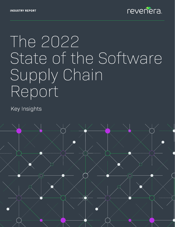

# The 2022 State of the Software Supply Chain Report

**Key Insights** 

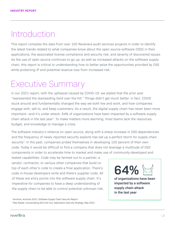# Introduction

This report compiles the data from over 100 Revenera audit services projects in order to identify the latest trends related to what companies know about the open source software (OSS) in their applications, the associated license compliance and security risk, and severity of discovered issues. As the use of open source continues to go up, as well as increased attacks on the software supply chain, this report is critical to understanding how to better seize the opportunities provided by OSS while protecting IP and potential revenue loss from increased risk.

## Executive Summary

In our 2021 report, with the upheaval caused by COVID-19, we stated that the prior year "represented the stampeding herd over the hill." Things didn't get much better. In fact, COVID stuck around and fundamentally changed the way we both live and work, and how companies engage with, sell to, and keep customers. As a result, the digital supply chain has never been more important—and it's under attack. 64% of organizations have been impacted by a software supply chain attack in the last year<sup>1</sup>. To make matters more alarming, most teams lack the resources, budget, and knowledge to manage a crisis.

The software industry's reliance on open source, along with a sharp increase in OSS dependencies and the frequency of newly reported security exploits has set up a perfect storm for supply chain security<sup>2</sup>. In the past, companies prided themselves in developing 100 percent of their own code. Today it would be difficult to find a company that does not leverage a multitude of OSS components in order to accelerate time to market and make use of community-developed and

tested capabilities. Code may be farmed out to a partner, a vendor, contractor, or various other companies that build on top of each other's code to create a final application. There's code in-house developers write and there's supplier code. All of these are entry points into the software supply chain. It's imperative for companies to have a deep understanding of the supply chain to be able to control potential unknown risk.

**64%**

**of organizations have been impacted by a software supply chain attack in the last year**

<sup>1</sup>Anchore, Anchore 2021: Software Supply Chain Security Report 2Alex Rybak, Incorporating SCA Into Your Application Security Strategy, May 2021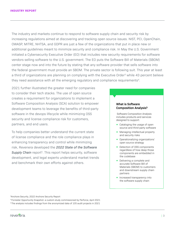The industry and markets continue to respond to software supply chain and security risk by increasing regulations aimed at discovering and tracking open source issues. NIST, PCI, OpenChain, OWASP, MITRE, NHTSA, and GDPR are just a few of the organizations that put in place new or additional guidelines meant to minimize security and compliance risk. In May the U.S. Government initiated a Cybersecurity Executive Order (EO) that includes new security requirements for software vendors selling software to the U.S. government. The EO puts the Software Bill of Materials (SBOM) center stage now and into the future by stating that any software provider that sells software into the federal government must provide an SBOM. The private sector is following suit. This year at least a third of organizations are planning on complying with the Executive Order<sup>3</sup> while 43 percent believe they need assistance with all the emerging regulatory and compliance requirements<sup>4</sup>.

2021 further illustrated the greater need for companies to consider their tech stacks. The use of open source creates a requirement for organizations to implement a Software Composition Analysis (SCA) solution to empower development teams to leverage the benefits of third-party software in the devops lifecycle while minimizing OSS security and license compliance risk for customers, partners, and end users.

To help companies better understand the current state of license compliance and the role compliance plays in enhancing transparency and control while minimizing risk, Revenera developed the *2022 State of the Software*  **Supply Chain** report<sup>5</sup>. This report helps security, software development, and legal experts understand market trends and benchmark their own efforts against others.

#### **What is Software Composition Analysis?**

 Software Composition Analysis includes products and services designed to support:

- Cataloging the usage of open source and third-party software
- Managing intellectual property and security risks
- Operationalizing organizations' open source strategy
- Detection of OSS components regardless of how deep those components are embedded in the codebase
- Delivering a complete and accurate Software Bill of Materials (SBOM) to customers and downstream supply chain partners
- **•** Increased transparency into the software supply chain

3Anchore Security, 2022 Anchore Security Report

4 Forrester Opportunity Snapshot: a custom study commissioned by Perforce, April 2021 5 The analysis includes findings from the anonymized data of 105 audit projects in 2021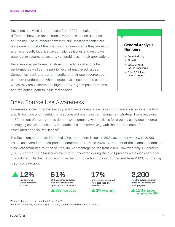Revenera analyzed audit projects from 2021 to look at the difference between open source awareness and actual open source use. The numbers show that, still, most companies are not aware of most of the open source components they are using and, as a result, face license compliance issues and unknown potential exposures to security vulnerabilities in their applications.

Revenera also performed analysis on the types of audits being performed as well as the priority level of uncovered issues. Companies looking to perform audits of their open source use can better understand when a deep dive is needed, the extent to which they are vulnerable to high priority, high-impact problems, and the critical path to issue remediation.

### Open Source Use Awareness

Awareness of the potential security and license compliance risk your organization faces is the first step to building and maintaining a successful open source management strategy. However, close to 70 percent of organizations do not have company-wide policies for properly using open source, identifying associated security vulnerabilities, and complying with the requirements of the associated open source license7.

The Revenera audit team identified 12 percent more issues in 2021 (over prior year) with 2,200 issues uncovered per audit project compared to 1,959 in 2020. 61 percent of the scanned codebase files were attributed to open source, up 6 percentage points from 2020. However, only 17 percent (13,068) of the 230,964 issues eventually uncovered during the audit process were disclosed prior to audit start. Disclosure is trending in the right direction, up over 10 percent from 2020, but the gap is still considerable.













<sup>6</sup> Majority of audits coming from the U.S. and EMEA

7 Forrester Opportunity Snapshot: a custom study commissioned by Perforce, April 2021

**General Analysis Numbers**

- Cross-industry
- Global6
- 230,964 total issues uncovered
- Over 2.6 billion lines of code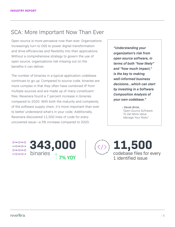## SCA: More Important Now Than Ever

Open source is more pervasive now than ever. Organizations increasingly turn to OSS to power digital transformation and drive efficiencies and flexibility into their applications. Without a comprehensive strategy to govern the use of open source, organizations risk missing out on the benefits it can deliver.

The number of binaries in a typical application codebase continues to go up. Compared to source code, binaries are more complex in that they often have combined IP from multiple sources and are made up of many constituent files. Revenera found a 7 percent increase in binaries compared to 2020. With both the maturity and complexity of the software supply chain, it's more important than ever to better understand what's in your code. Additionally, Revenera discovered 11,500 lines of code for every uncovered issue—a 5% increase compared to 2020.

*"Understanding your organization's risk from open source software, in terms of both "how likely" and "how much impact," is the key to making well-informed business decisions…which can start by investing in a Software Composition Analysis of your own codebase."*

> *- Derek Brink, "Open Source Software: To Get More Value, Manage Your Risks"*

റ—റ—റ  $-0-0-$ 



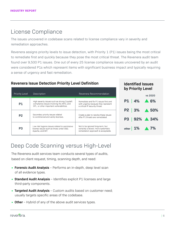## License Compliance

The issues uncovered in codebase scans related to license compliance vary in severity and remediation approaches.

Revenera assigns priority levels to issue detection, with Priority 1 (P1) issues being the most critical to remediate first and quickly because they pose the most critical threat. The Revenera audit team found over 9,500 P1 issues. One out of every 25 license compliance issues uncovered by an audit were considered P1s which represent items with significant business impact and typically requiring a sense of urgency and fast remediation.

#### **Revenera Issue Detection Priority Level Definition**

| <b>Identified Issues</b> |  |  |
|--------------------------|--|--|
| by Priority Level        |  |  |

**Identified Issues**

| <b>Priority Level</b> | Description                                                                                                                          | Revenera Recommendation                                                                                        |       |
|-----------------------|--------------------------------------------------------------------------------------------------------------------------------------|----------------------------------------------------------------------------------------------------------------|-------|
| <b>P1</b>             | High severity issues such as strong Copyleft<br>compliance issues involving the APGL and<br>GPL, or other important vulnerabilities. | Remediate and fix P1 issues first and<br>with urgency because they represent<br>a critical IP security threat. |       |
| <b>P2</b>             | Secondary priority issues related<br>to commercial and vanity licenses.                                                              | Create a plan to resolve these issues<br>after P1 threats are remediated.                                      | 3     |
| P <sub>3</sub>        | Low risk hygiene issues related to permissive<br>license issues such as those under BSD.<br>Apache, and MIT.                         | Not to be ignored long-term, but<br>certainly a slower, more systematic<br>remediation approach is acceptable. | other |



## Deep Code Scanning versus High-Level

The Revenera audit services team conducts several types of audits, based on client request, timing, scanning depth, and need:

- **Forensic Audit Analysis** Performs an in-depth, deep level scan of all evidence types.
- **Standard Audit Analysis** Identifies explicit P1 licenses and large third-party components.
- **Targeted Audit Analysis** Custom audits based on customer need; usually targets specific areas of the codebase.
- **Other** Hybrid of any of the above audit services types.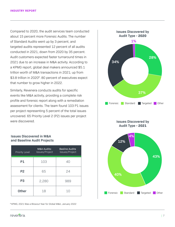Compared to 2020, the audit services team conducted about 15 percent more Forensic Audits. The number of Standard Audits went up by 3 percent, and targeted audits represented 12 percent of all audits conducted in 2021, down from 2020 by 35 percent. Audit customers expected faster turnaround times in 2021 due to an increase in M&A activity. According to a KPMG report, global deal makers announced \$5.1 trillion worth of M&A transactions in 2021; up from \$3.8 trillion in 2020<sup>8</sup>. 80 percent of executives expect that number to grow higher in 2022.

Similarly, Revenera conducts audits for specific events like M&A activity, providing a complete risk profile and forensic report along with a remediation assessment for clients. The team found 103 P1 issues per project representing 5 percent of the total issues uncovered. 65 Priority Level 2 (P2) issues per project were discovered.

#### **Issues Discovered in M&A 4% and Baseline Audit Projects**

| Priority Level | M&A Audits:<br>Issues/Project | <b>Basline Audits</b><br>Issues/Project |
|----------------|-------------------------------|-----------------------------------------|
| <b>P1</b>      | 103                           | 40                                      |
| P <sub>2</sub> | 65                            | 24                                      |
| P <sub>3</sub> | 2,280                         | 989                                     |
| <b>Other</b>   | 18                            | 10                                      |

8 KPMG, 2021 Was a Blowout Year for Global M&A, January 2022





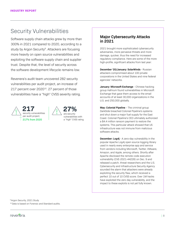## Security Vulnerabilities

Software supply chain attacks grew by more than 300% in 2021 compared to 2020, according to a study by Argon Security<sup>9</sup>. Attackers are focusing more heavily on open source vulnerabilities and exploiting the software supply chain and supplier trust. Despite that, the level of security across the software development lifecycle remains low.

Revenera's audit team uncovered 282 security vulnerabilities per audit project, an increase of 217 percent over 2020<sup>10</sup>. 27 percent of those vulnerabilities have a "high" CVSS severity rating.





#### **Major Cybersecurity Attacks in 2021**

2021 brought more sophisticated cybersecurity adversaries, more pervasive threats and more damage, quicker, thus the need for increased regulatory compliance. Here are some of the more high-profile, significant attacks from last year:

**December '20/January: SolarWinds** - Russian attackers compromised about 100 private corporations in the United States and nine federal agencies' networks.

**January: Microsoft Exchange** - Chinese hacking group Hafnium found vulnerabilities in Microsoft Exchange that gave them access to the email accounts of at least 30,000 organizations in the U.S. and 250,000 globally.

**May: Colonial Pipeline** – The criminal group DarkSide breached Colonial Pipeline's systems and shut down a major fuel supply for the East Coast. Colonial Pipeline's CEO ultimately authorized a \$4.4 million ransom payment to restore the systems. This particular attack showed that US infrastructure was not immune from malicious software attacks.

**December: Log4j** - A zero-day vulnerability in the popular Apache Log4j open source logging library used in nearly every enterprise app and service from vendors including Microsoft, Twitter, VMware, Amazon, and Apple, among others. Shortly after Apache disclosed the remote code execution vulnerability (CVE-2021-44228) on Dec. 9 and released a patch, threat researchers and the U.S. Cybersecurity and Infrastructure Security Agency sounded the alarm that attackers were already exploiting the security flaw, which received a perfect 10 out of 10 CVSS score. Over 1M hacks have exploited the zero day vulnerability, and the impact to these exploits is not yet fully known.

<sup>9</sup> Argon Security, 2021 Study

<sup>10</sup> Data is based on Forensic and Standard audits.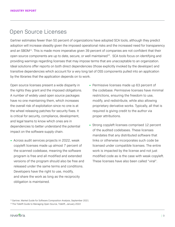## Open Source Licenses

Gartner estimates fewer than 50 percent of organizations have adopted SCA tools, although they predict adoption will increase steadily given the imposed operational risks and the increased need for transparency and an SBOM<sup>11</sup>. This is made more imperative given 39 percent of companies are not confident that their open source components are up to date, secure, or well maintained<sup>12</sup>. SCA tools focus on identifying and providing warnings regarding licenses that may impose terms that are unacceptable to an organization. Ideal solutions offer reports on both direct dependencies (those explicitly invoked by the developer) and transitive dependencies which account for a very long tail of OSS components pulled into an application by the libraries that the application depends on to work.

Open source licenses present a wide disparity in the rights they grant and the imposed obligations. A number of widely used open source packages have no one maintaining them, which increases the overall risk of exploitation since no one is at the wheel releasing patches for security fixes. It is critical for security, compliance, development, and legal teams to know which ones are in dependencies to better understand the potential impact on the software supply chain.

- Across audit services projects in 2022, weak copyleft licenses made up almost 7 percent of the scanned codebase, meaning the software program is free and all modified and extended versions of the program should also be free and released under the same terms and conditions. Developers have the right to use, modify, and share the work as long as the reciprocity obligation is maintained.
- Permissive licenses made up 63 percent of the codebase. Permissive licenses have minimal restrictions, ensuring the freedom to use, modify, and redistribute, while also allowing proprietary derivative works. Typically, all that is required is giving credit to the author via proper attributions.
- Strong copyleft licenses comprised 12 percent of the audited codebases. These licenses mandates that any distributed software that links or otherwise incorporates such code be licensed under compatible licenses. The entire work is impacted by the license and not just modified code as is the case with weak copyleft. These licenses have also been called "viral".

<sup>&</sup>lt;sup>11</sup> Gartner, Market Guide for Software Composition Analysis, September 2021 <sup>12</sup> The Tidelift Guide to Managing Open Source, Tidelift, January 2022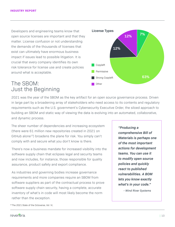Developers and engineering teams know that open source licenses are important and that they matter. License confusion or not understanding the demands of the thousands of licenses that exist can ultimately have enormous business impact if issues lead to possible litigation. It is crucial that every company identifies its own risk tolerance for license use and create policies around what is acceptable.

## **License Types 12% 12% 7% 63%** Copyleft Permissive Strong Copyleft **Other**

## The SBOM: Just the Beginning

2021 was the year of the SBOM as the key artifact for an open source governance process. Driven in large part by a broadening array of stakeholders who need access to its contents and regulatory requirements such as the U.S. government's Cybersecurity Executive Order, the siloed approach to building an SBOM and static way of viewing the data is evolving into an automated, collaborative, and dynamic process.

The sheer number of dependencies and increasing ecosystem (there were 61 million new repositories created in 2021 on GitHub alone<sup>13</sup>) broadens the plane for risk. You simply can't comply with and secure what you don't know is there.

There's now a business mandate for increased visibility into the software supply chain that eclipses legal and security teams and now includes, for instance, those responsible for quality assurance, product safety and export compliance.

As industries and governing bodies increase governance requirements and more companies require an SBOM from software suppliers as part of the contractual process to prove software supply chain security, having a complete, accurate inventory of what's in code will most likely become the norm rather than the exception.

*"Producing a comprehensive Bill of Materials is perhaps one of the most important actions for development teams. You can use it to modify open source policies and quickly react to published vulnerabilities. A BOM lets you know exactly what's in your code."*

 *- Wind River Systems*

<sup>13</sup> [The 2021 State of the Octoverse,](https://octoverse.github.com/) Vol. VI,